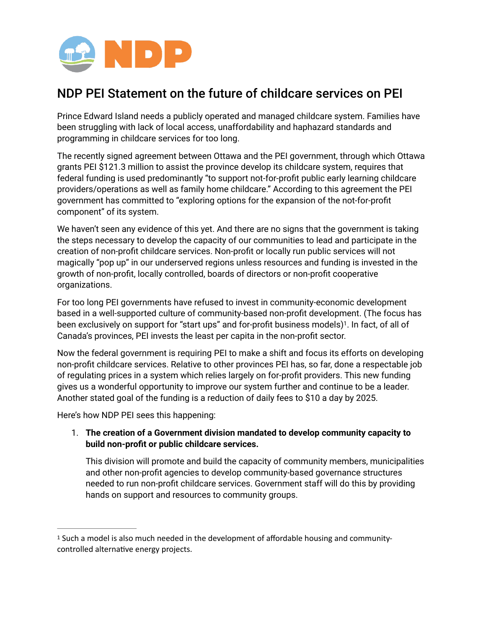

# NDP PEI Statement on the future of childcare services on PEI

Prince Edward Island needs a publicly operated and managed childcare system. Families have been struggling with lack of local access, unaffordability and haphazard standards and programming in childcare services for too long.

The recently signed agreement between Ottawa and the PEI government, through which Ottawa grants PEI \$121.3 million to assist the province develop its childcare system, requires that federal funding is used predominantly "to support not-for-profit public early learning childcare providers/operations as well as family home childcare." According to this agreement the PEI government has committed to "exploring options for the expansion of the not-for-profit component" of its system.

We haven't seen any evidence of this yet. And there are no signs that the government is taking the steps necessary to develop the capacity of our communities to lead and participate in the creation of non-profit childcare services. Non-profit or locally run public services will not magically "pop up" in our underserved regions unless resources and funding is invested in the growth of non-profit, locally controlled, boards of directors or non-profit cooperative organizations.

<span id="page-0-1"></span>For too long PEI governments have refused to invest in community-economic development based in a well-supported culture of community-based non-profit development. (The focus has been exclusively on support for "start ups" and for-profit business models)<sup>[1](#page-0-0)</sup>. In fact, of all of Canada's provinces, PEI invests the least per capita in the non-profit sector.

Now the federal government is requiring PEI to make a shift and focus its efforts on developing non-profit childcare services. Relative to other provinces PEI has, so far, done a respectable job of regulating prices in a system which relies largely on for-profit providers. This new funding gives us a wonderful opportunity to improve our system further and continue to be a leader. Another stated goal of the funding is a reduction of daily fees to \$10 a day by 2025.

Here's how NDP PEI sees this happening:

# 1. **The creation of a Government division mandated to develop community capacity to build non-profit or public childcare services.**

This division will promote and build the capacity of community members, municipalities and other non-profit agencies to develop community-based governance structures needed to run non-profit childcare services. Government staff will do this by providing hands on support and resources to community groups.

<span id="page-0-0"></span><sup>&</sup>lt;sup>[1](#page-0-1)</sup> Such a model is also much needed in the development of affordable housing and communitycontrolled alternative energy projects.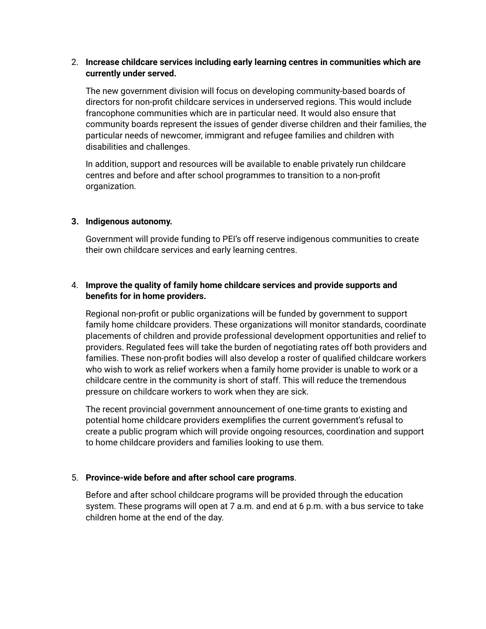#### 2. **Increase childcare services including early learning centres in communities which are currently under served.**

The new government division will focus on developing community-based boards of directors for non-profit childcare services in underserved regions. This would include francophone communities which are in particular need. It would also ensure that community boards represent the issues of gender diverse children and their families, the particular needs of newcomer, immigrant and refugee families and children with disabilities and challenges.

In addition, support and resources will be available to enable privately run childcare centres and before and after school programmes to transition to a non-profit organization.

## **3. Indigenous autonomy.**

Government will provide funding to PEI's off reserve indigenous communities to create their own childcare services and early learning centres.

## 4. **Improve the quality of family home childcare services and provide supports and benefits for in home providers.**

Regional non-profit or public organizations will be funded by government to support family home childcare providers. These organizations will monitor standards, coordinate placements of children and provide professional development opportunities and relief to providers. Regulated fees will take the burden of negotiating rates off both providers and families. These non-profit bodies will also develop a roster of qualified childcare workers who wish to work as relief workers when a family home provider is unable to work or a childcare centre in the community is short of staff. This will reduce the tremendous pressure on childcare workers to work when they are sick.

The recent provincial government announcement of one-time grants to existing and potential home childcare providers exemplifies the current government's refusal to create a public program which will provide ongoing resources, coordination and support to home childcare providers and families looking to use them.

## 5. **Province-wide before and after school care programs**.

Before and after school childcare programs will be provided through the education system. These programs will open at 7 a.m. and end at 6 p.m. with a bus service to take children home at the end of the day.